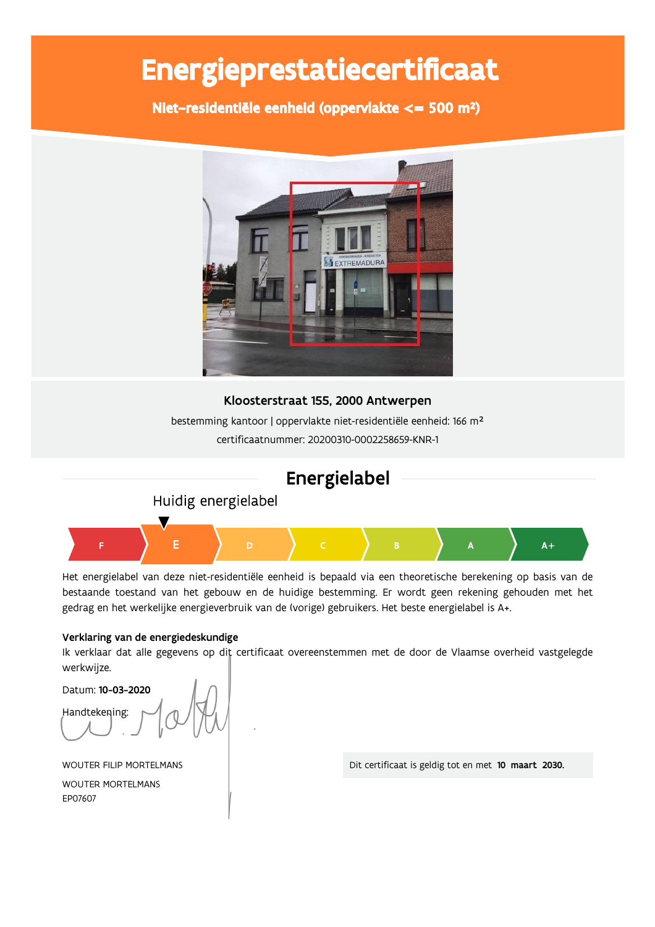# Energieprestatiecertificaat

Niet-residentiële eenheid (oppervlakte <= 500 m<sup>2</sup>)



## Kloosterstraat 155, 2000 Antwerpen

bestemming kantoor | oppervlakte niet-residentiële eenheid: 166 m<sup>2</sup> certificaatnummer: 20200310-0002258659-KNR-1

## Energielabel

Huidig energielabel



Het energielabel van deze niet-residentiële eenheid is bepaald via een theoretische berekening op basis van de bestaande toestand van het gebouw en de huidige bestemming. Er wordt geen rekening gehouden met het gedrag en het werkelijke energieverbruik van de (vorige) gebruikers. Het beste energielabel is A+.

## Verklaring van de energiedeskundige

Ik verklaar dat alle gegevens op dit certificaat overeenstemmen met de door de Vlaamse overheid vastgelegde werkwijze.

Datum: 10-03-2020 Handtekening:

WOUTER FILIP MORTELMANS

**WOUTER MORTELMANS** FP07607

Dit certificaat is geldig tot en met 10 maart 2030.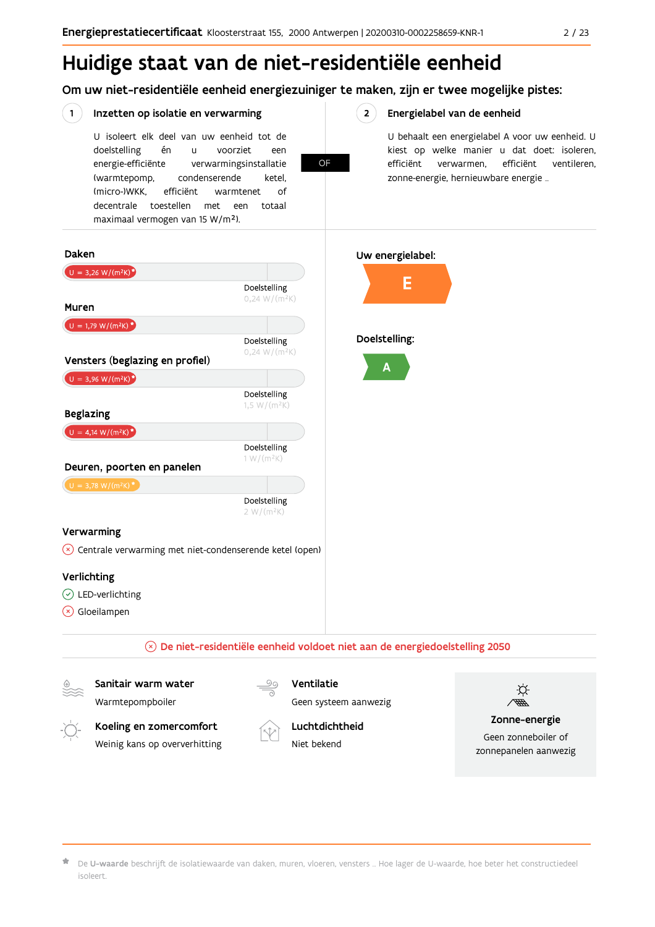# Huidige staat van de niet-residentiële eenheid

Om uw niet-residentiële eenheid energiezuiniger te maken, zijn er twee mogelijke pistes:

#### $\left( 1 \right)$ Inzetten op isolatie en verwarming

U isoleert elk deel van uw eenheid tot de én voorziet doelstelling  $\overline{11}$ een energie-efficiënte verwarmingsinstallatie (warmtepomp, condenserende ketel. (micro-)WKK. efficiënt warmtenet  $\bigcap_{ }$ decentrale toestellen met een totaal

OF

 $2^{\circ}$ 

### Energielabel van de eenheid

U behaalt een energielabel A voor uw eenheid. U kiest op welke manier u dat doet: isoleren, efficiënt verwarmen, efficiënt ventileren, zonne-energie, hernieuwbare energie ...



De U-waarde beschrijft de isolatiewaarde van daken, muren, vloeren, vensters ... Hoe lager de U-waarde, hoe beter het constructiedeel isoleert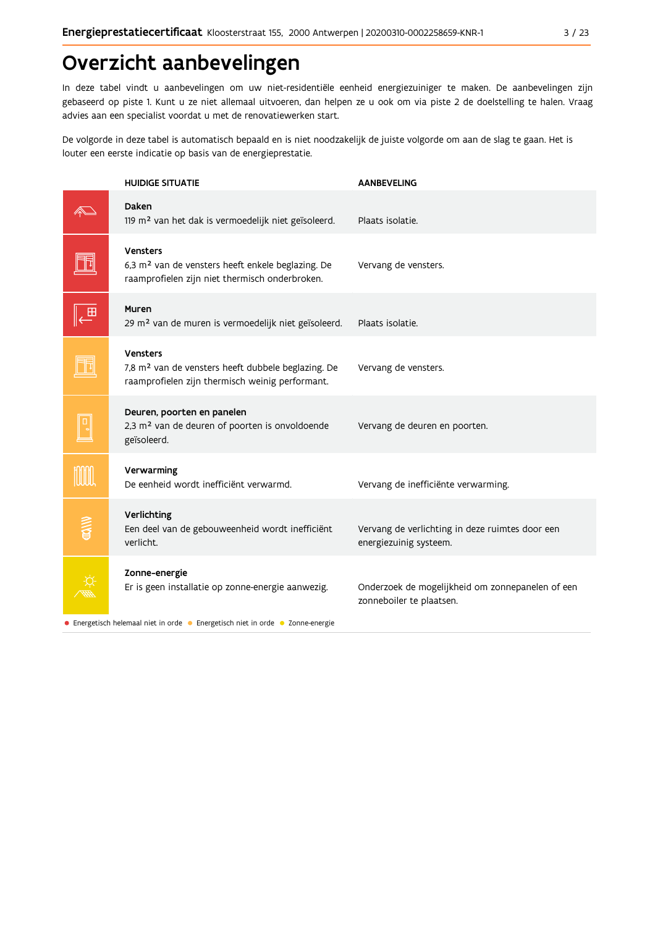# Overzicht aanbevelingen

In deze tabel vindt u aanbevelingen om uw niet-residentiële eenheid energiezuiniger te maken. De aanbevelingen zijn gebaseerd op piste 1. Kunt u ze niet allemaal uitvoeren, dan helpen ze u ook om via piste 2 de doelstelling te halen. Vraag advies aan een specialist voordat u met de renovatiewerken start.

De volgorde in deze tabel is automatisch bepaald en is niet noodzakelijk de juiste volgorde om aan de slag te gaan. Het is louter een eerste indicatie op basis van de energieprestatie.

|              | <b>HUIDIGE SITUATIE</b>                                                                                                              | <b>AANBEVELING</b>                                                           |
|--------------|--------------------------------------------------------------------------------------------------------------------------------------|------------------------------------------------------------------------------|
|              | Daken<br>119 m <sup>2</sup> van het dak is vermoedelijk niet geïsoleerd.                                                             | Plaats isolatie.                                                             |
|              | <b>Vensters</b><br>6,3 m <sup>2</sup> van de vensters heeft enkele beglazing. De<br>raamprofielen zijn niet thermisch onderbroken.   | Vervang de vensters.                                                         |
|              | <b>Muren</b><br>29 m <sup>2</sup> van de muren is vermoedelijk niet geïsoleerd.                                                      | Plaats isolatie.                                                             |
|              | <b>Vensters</b><br>7,8 m <sup>2</sup> van de vensters heeft dubbele beglazing. De<br>raamprofielen zijn thermisch weinig performant. | Vervang de vensters.                                                         |
|              | Deuren, poorten en panelen<br>2,3 m <sup>2</sup> van de deuren of poorten is onvoldoende<br>geïsoleerd.                              | Vervang de deuren en poorten.                                                |
|              | Verwarming<br>De eenheid wordt inefficiënt verwarmd.                                                                                 | Vervang de inefficiënte verwarming.                                          |
| <b>SHARE</b> | Verlichting<br>Een deel van de gebouweenheid wordt inefficiënt<br>verlicht.                                                          | Vervang de verlichting in deze ruimtes door een<br>energiezuinig systeem.    |
|              | Zonne-energie<br>Er is geen installatie op zonne-energie aanwezig.                                                                   | Onderzoek de mogelijkheid om zonnepanelen of een<br>zonneboiler te plaatsen. |
|              | • Energetisch helemaal niet in orde • Energetisch niet in orde • Zonne-energie                                                       |                                                                              |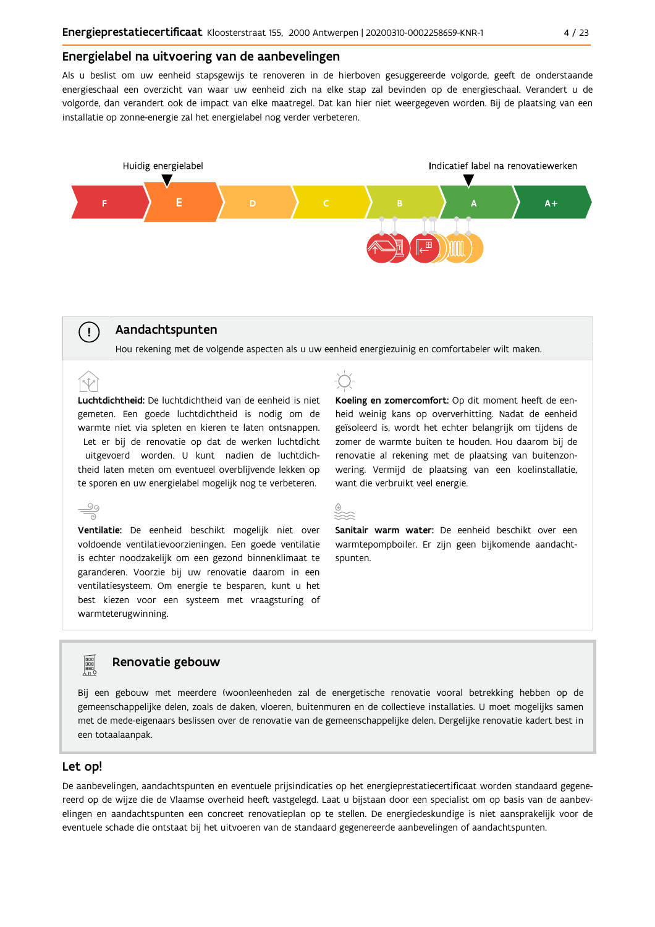### Energielabel na uitvoering van de aanbevelingen

Als u beslist om uw eenheid stapsgewijs te renoveren in de hierboven gesuggereerde volgorde, geeft de onderstaande energieschaal een overzicht van waar uw eenheid zich na elke stap zal bevinden op de energieschaal. Verandert u de volgorde, dan verandert ook de impact van elke maatregel. Dat kan hier niet weergegeven worden. Bij de plaatsing van een installatie op zonne-energie zal het energielabel nog verder verbeteren.



## Aandachtspunten

 $\left(\begin{array}{c} 1 \end{array}\right)$ 

Hou rekening met de volgende aspecten als u uw eenheid energiezuinig en comfortabeler wilt maken.

Luchtdichtheid: De luchtdichtheid van de eenheid is niet gemeten. Een goede luchtdichtheid is nodig om de warmte niet via spleten en kieren te laten ontsnappen. Let er bij de renovatie op dat de werken luchtdicht uitgevoerd worden. U kunt nadien de luchtdichtheid laten meten om eventueel overblijvende lekken op te sporen en uw energielabel mogelijk nog te verbeteren.

 $\stackrel{\circ}{\equiv}$ Ventilatie: De eenheid beschikt mogelijk niet over voldoende ventilatievoorzieningen. Een goede ventilatie is echter noodzakelijk om een gezond binnenklimaat te garanderen. Voorzie bij uw renovatie daarom in een ventilatiesysteem. Om energie te besparen, kunt u het best kiezen voor een systeem met vraagsturing of warmteterugwinning.



Koeling en zomercomfort: Op dit moment heeft de eenheid weinig kans op oververhitting. Nadat de eenheid geïsoleerd is, wordt het echter belangrijk om tijdens de zomer de warmte buiten te houden. Hou daarom bij de renovatie al rekening met de plaatsing van buitenzonwering. Vermijd de plaatsing van een koelinstallatie, want die verbruikt veel energie.

Sanitair warm water: De eenheid beschikt over een warmtepompboiler. Er zijn geen bijkomende aandachtspunten.

## Renovatie gebouw

Bij een gebouw met meerdere (woon)eenheden zal de energetische renovatie vooral betrekking hebben op de gemeenschappelijke delen, zoals de daken, vloeren, buitenmuren en de collectieve installaties. U moet mogelijks samen met de mede-eigenaars beslissen over de renovatie van de gemeenschappelijke delen. Dergelijke renovatie kadert best in een totaalaanpak.

### Let op!

**FOR** 

De aanbevelingen, aandachtspunten en eventuele prijsindicaties op het energieprestatiecertificaat worden standaard gegenereerd op de wijze die de Vlaamse overheid heeft vastgelegd. Laat u bijstaan door een specialist om op basis van de aanbevelingen en aandachtspunten een concreet renovatieplan op te stellen. De energiedeskundige is niet aansprakelijk voor de eventuele schade die ontstaat bij het uitvoeren van de standaard gegenereerde aanbevelingen of aandachtspunten.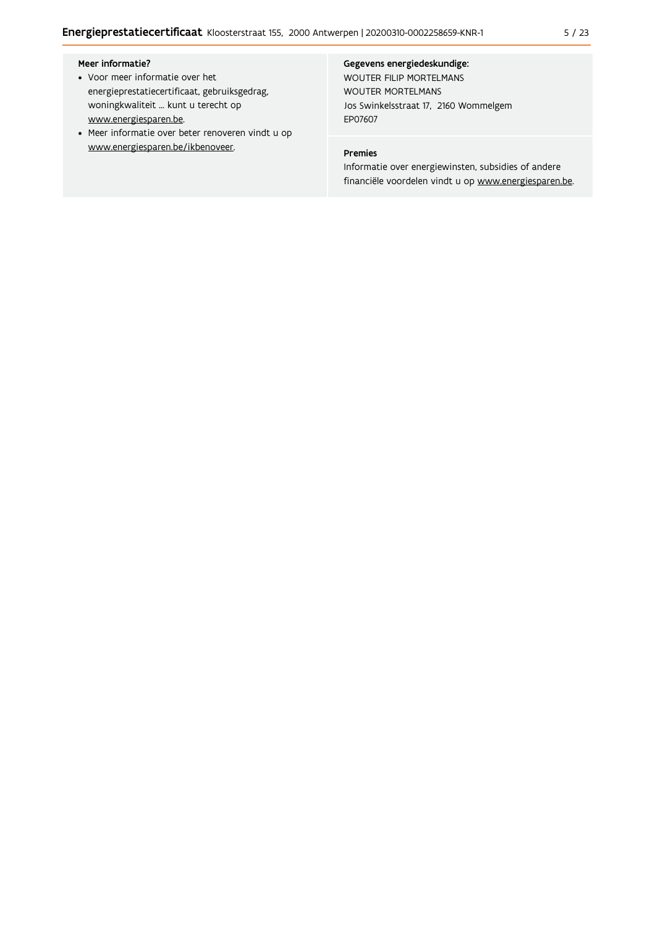### Meer informatie?

- Voor meer informatie over het energieprestatiecertificaat, gebruiksgedrag, woningkwaliteit ... kunt u terecht op www.energiesparen.be.
- Meer informatie over beter renoveren vindt u op www.energiesparen.be/ikbenoveer.

#### Gegevens energiedeskundige:

WOUTER FILIP MORTELMANS WOUTER MORTELMANS Jos Swinkelsstraat 17, 2160 Wommelgem EP07607

## Premies

Informatie over energiewinsten, subsidies of andere financiële voordelen vindt u op www.energiesparen.be.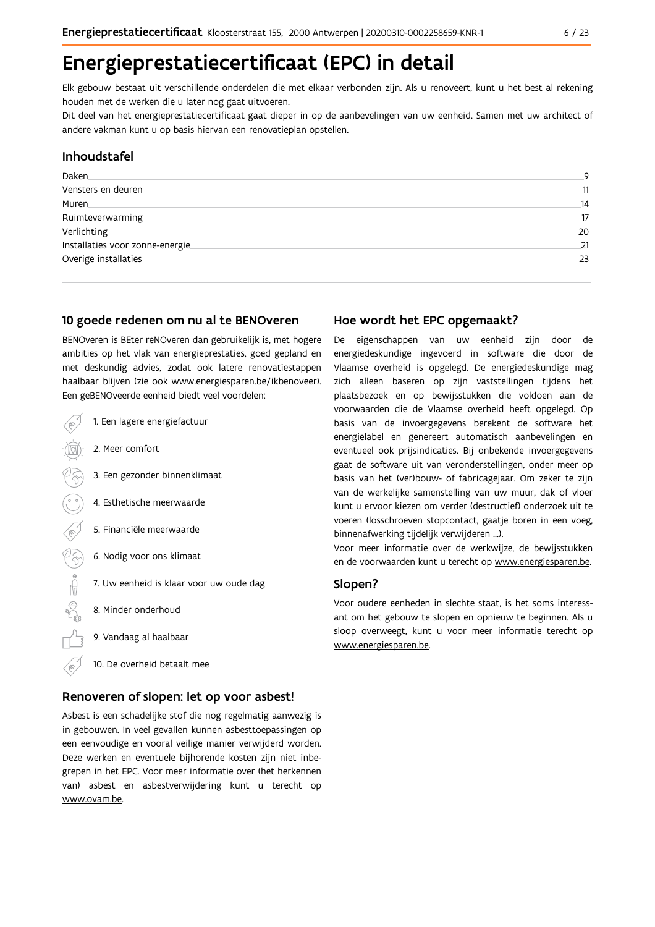# Energieprestatiecertificaat (EPC) in detail

Elk gebouw bestaat uit verschillende onderdelen die met elkaar verbonden zijn. Als u renoveert, kunt u het best al rekening houden met de werken die u later nog gaat uitvoeren.

Dit deel van het energieprestatiecertificaat gaat dieper in op de aanbevelingen van uw eenheid. Samen met uw architect of andere vakman kunt u op basis hiervan een renovatieplan opstellen.

## Inhoudstafel

| Daken.                           | 9  |
|----------------------------------|----|
| Vensters en deuren               | 11 |
| Muren                            | 14 |
| Ruimteverwarming                 | 17 |
| Verlichting                      | 20 |
| Installaties voor zonne-energie. | 21 |
| Overige installaties             | 23 |
|                                  |    |

## 10 goede redenen om nu al te BENOveren

BENOveren is BEter reNOveren dan gebruikelijk is, met hogere ambities op het vlak van energieprestaties, goed gepland en met deskundig advies, zodat ook latere renovatiestappen haalbaar blijven (zie ook www.energiesparen.be/ikbenoveer). Een geBENOveerde eenheid biedt veel voordelen:

| 1. Een lagere energiefactuur            |
|-----------------------------------------|
| 2. Meer comfort                         |
| 3. Een gezonder binnenklimaat           |
| 4. Esthetische meerwaarde               |
| 5. Financiële meerwaarde                |
| 6. Nodig voor ons klimaat               |
| 7. Uw eenheid is klaar voor uw oude dag |
| 8. Minder onderhoud                     |
| 9. Vandaag al haalbaar                  |
| 10. De overheid betaalt mee             |

## Renoveren of slopen: let op voor asbest!

Asbest is een schadelijke stof die nog regelmatig aanwezig is in gebouwen. In veel gevallen kunnen asbesttoepassingen op een eenvoudige en vooral veilige manier verwijderd worden. Deze werken en eventuele bijhorende kosten zijn niet inbegrepen in het EPC. Voor meer informatie over (het herkennen van) asbest en asbestverwijdering kunt u terecht op www.ovam.be.

## Hoe wordt het EPC opgemaakt?

De eigenschappen van uw eenheid zijn door de energiedeskundige ingevoerd in software die door de Vlaamse overheid is opgelegd. De energiedeskundige mag zich alleen baseren op zijn vaststellingen tijdens het plaatsbezoek en op bewijsstukken die voldoen aan de voorwaarden die de Vlaamse overheid heeft opgelegd. Op basis van de invoergegevens berekent de software het energielabel en genereert automatisch aanbevelingen en eventueel ook prijsindicaties. Bij onbekende invoergegevens gaat de software uit van veronderstellingen, onder meer op basis van het (ver)bouw- of fabricagejaar. Om zeker te zijn van de werkelijke samenstelling van uw muur, dak of vloer kunt u ervoor kiezen om verder (destructief) onderzoek uit te voeren (losschroeven stopcontact, gaatje boren in een voeg, binnenafwerking tijdelijk verwijderen ...).

Voor meer informatie over de werkwijze, de bewijsstukken en de voorwaarden kunt u terecht op www.energiesparen.be.

## Slopen?

Voor oudere eenheden in slechte staat, is het soms interessant om het gebouw te slopen en opnieuw te beginnen. Als u sloop overweegt, kunt u voor meer informatie terecht op www.energiesparen.be.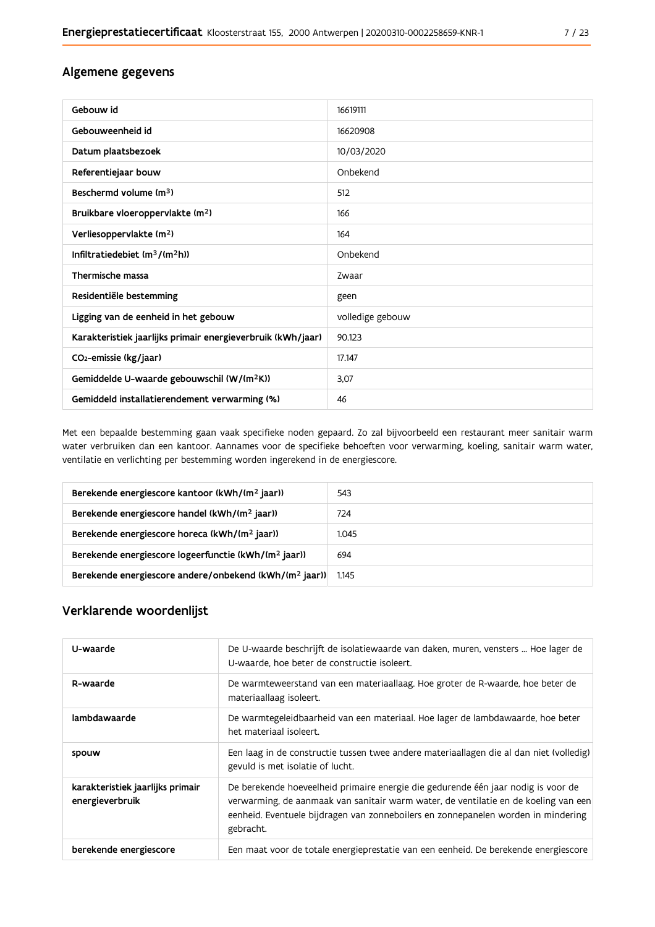## Algemene gegevens

| Gebouw id                                                   | 16619111         |
|-------------------------------------------------------------|------------------|
| Gebouweenheid id                                            | 16620908         |
| Datum plaatsbezoek                                          | 10/03/2020       |
| Referentiejaar bouw                                         | Onbekend         |
| Beschermd volume (m <sup>3</sup> )                          | 512              |
| Bruikbare vloeroppervlakte (m <sup>2</sup> )                | 166              |
| Verliesoppervlakte (m <sup>2</sup> )                        | 164              |
| Infiltratiedebiet (m <sup>3</sup> /(m <sup>2</sup> h))      | Onbekend         |
| Thermische massa                                            | Zwaar            |
| Residentiële bestemming                                     | geen             |
| Ligging van de eenheid in het gebouw                        | volledige gebouw |
| Karakteristiek jaarlijks primair energieverbruik (kWh/jaar) | 90.123           |
| CO <sub>2</sub> -emissie (kg/jaar)                          | 17.147           |
| Gemiddelde U-waarde gebouwschil (W/(m <sup>2</sup> K))      | 3,07             |
| Gemiddeld installatierendement verwarming (%)               | 46               |

Met een bepaalde bestemming gaan vaak specifieke noden gepaard. Zo zal bijvoorbeeld een restaurant meer sanitair warm water verbruiken dan een kantoor. Aannames voor de specifieke behoeften voor verwarming, koeling, sanitair warm water, ventilatie en verlichting per bestemming worden ingerekend in de energiescore.

| Berekende energiescore kantoor (kWh/(m <sup>2</sup> jaar))         | 543   |
|--------------------------------------------------------------------|-------|
| Berekende energiescore handel (kWh/(m <sup>2</sup> jaar))          | 724   |
| Berekende energiescore horeca (kWh/(m <sup>2</sup> jaar))          | 1.045 |
| Berekende energiescore logeerfunctie (kWh/(m <sup>2</sup> jaar))   | 694   |
| Berekende energiescore andere/onbekend (kWh/(m <sup>2</sup> jaar)) | 1.145 |

## Verklarende woordenlijst

| U-waarde                                            | De U-waarde beschrijft de isolatiewaarde van daken, muren, vensters  Hoe lager de<br>U-waarde, hoe beter de constructie isoleert.                                                                                                                                          |
|-----------------------------------------------------|----------------------------------------------------------------------------------------------------------------------------------------------------------------------------------------------------------------------------------------------------------------------------|
| R-waarde                                            | De warmteweerstand van een materiaallaag. Hoe groter de R-waarde, hoe beter de<br>materiaallaag isoleert.                                                                                                                                                                  |
| lambdawaarde                                        | De warmtegeleidbaarheid van een materiaal. Hoe lager de lambdawaarde, hoe beter<br>het materiaal isoleert.                                                                                                                                                                 |
| spouw                                               | Een laag in de constructie tussen twee andere materiaallagen die al dan niet (volledig)<br>gevuld is met isolatie of lucht.                                                                                                                                                |
| karakteristiek jaarlijks primair<br>energieverbruik | De berekende hoeveelheid primaire energie die gedurende één jaar nodig is voor de<br>verwarming, de aanmaak van sanitair warm water, de ventilatie en de koeling van een<br>eenheid. Eventuele bijdragen van zonneboilers en zonnepanelen worden in mindering<br>gebracht. |
| berekende energiescore                              | Een maat voor de totale energieprestatie van een eenheid. De berekende energiescore                                                                                                                                                                                        |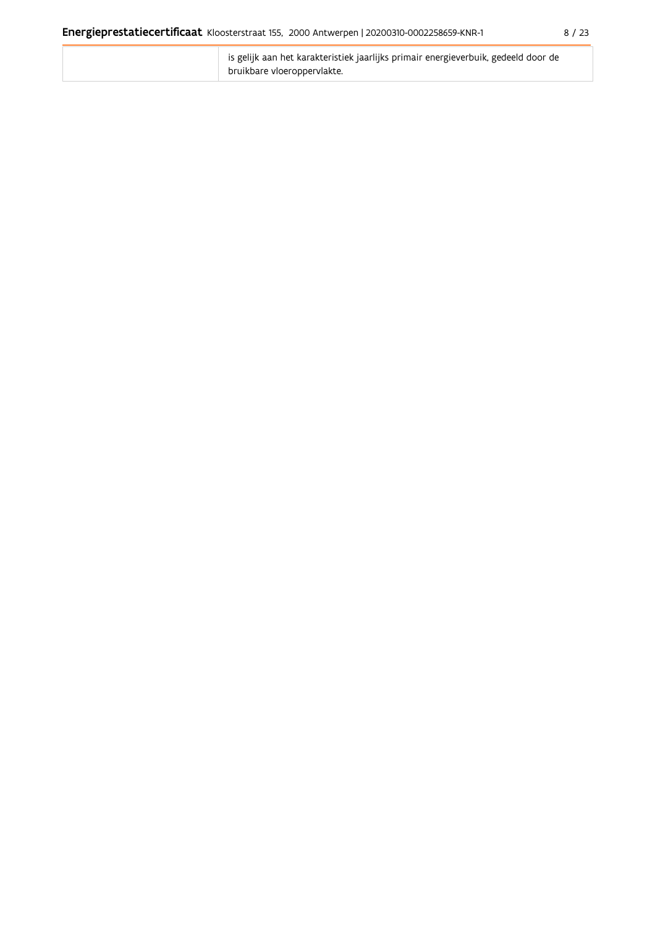| is gelijk aan het karakteristiek jaarlijks primair energieverbuik, gedeeld door de |
|------------------------------------------------------------------------------------|
| bruikbare vloeroppervlakte.                                                        |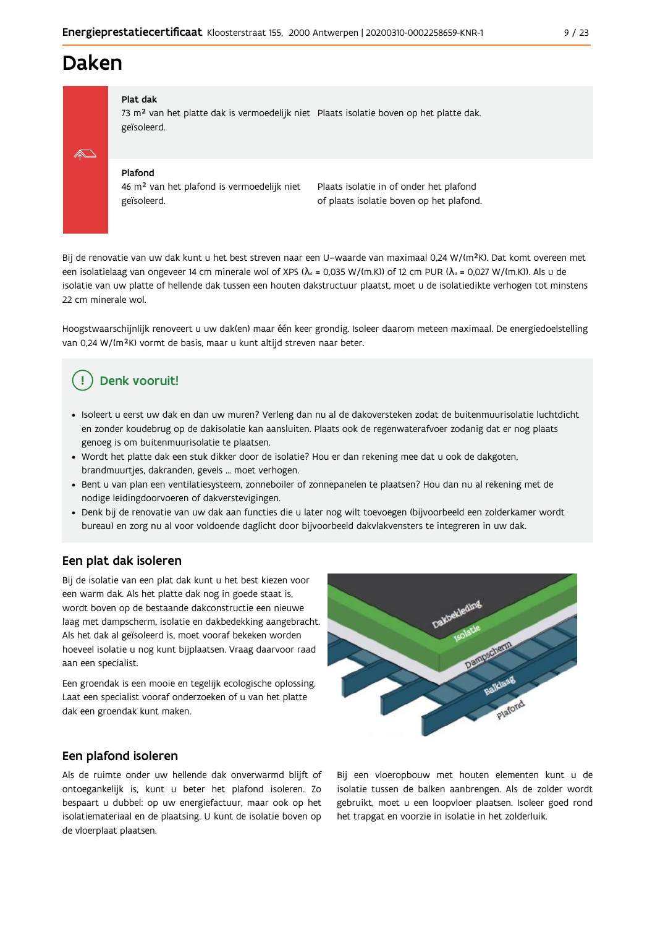## **Daken**

### Plat dak

73 m<sup>2</sup> van het platte dak is vermoedelijk niet Plaats isolatie boven op het platte dak. geïsoleerd.

#### Plafond

46 m<sup>2</sup> van het plafond is vermoedelijk niet geïsoleerd.

Plaats isolatie in of onder het plafond of plaats isolatie boven op het plafond.

Bij de renovatie van uw dak kunt u het best streven naar een U-waarde van maximaal 0,24 W/(m<sup>2</sup>K). Dat komt overeen met een isolatielaag van ongeveer 14 cm minerale wol of XPS ( $\lambda_a$  = 0,035 W/(m.K)) of 12 cm PUR ( $\lambda_a$  = 0,027 W/(m.K)). Als u de isolatie van uw platte of hellende dak tussen een houten dakstructuur plaatst, moet u de isolatiedikte verhogen tot minstens 22 cm minerale wol.

Hoogstwaarschijnlijk renoveert u uw dak(en) maar één keer grondig. Isoleer daarom meteen maximaal. De energiedoelstelling van 0,24 W/(m<sup>2</sup>K) vormt de basis, maar u kunt altijd streven naar beter.

## Denk vooruit!

- · Isoleert u eerst uw dak en dan uw muren? Verleng dan nu al de dakoversteken zodat de buitenmuurisolatie luchtdicht en zonder koudebrug op de dakisolatie kan aansluiten. Plaats ook de regenwaterafvoer zodanig dat er nog plaats genoeg is om buitenmuurisolatie te plaatsen.
- · Wordt het platte dak een stuk dikker door de isolatie? Hou er dan rekening mee dat u ook de dakgoten, brandmuurtjes, dakranden, gevels ... moet verhogen.
- · Bent u van plan een ventilatiesysteem, zonneboiler of zonnepanelen te plaatsen? Hou dan nu al rekening met de nodige leidingdoorvoeren of dakverstevigingen.
- · Denk bij de renovatie van uw dak aan functies die u later nog wilt toevoegen (bijvoorbeeld een zolderkamer wordt bureau) en zorg nu al voor voldoende daglicht door bijvoorbeeld dakvlakvensters te integreren in uw dak.

## Een plat dak isoleren

Bij de isolatie van een plat dak kunt u het best kiezen voor een warm dak. Als het platte dak nog in goede staat is, wordt boven op de bestaande dakconstructie een nieuwe laag met dampscherm, isolatie en dakbedekking aangebracht. Als het dak al geïsoleerd is, moet vooraf bekeken worden hoeveel isolatie u nog kunt bijplaatsen. Vraag daarvoor raad aan een specialist.

Een groendak is een mooie en tegelijk ecologische oplossing. Laat een specialist vooraf onderzoeken of u van het platte dak een groendak kunt maken.

## Een plafond isoleren

Als de ruimte onder uw hellende dak onverwarmd blijft of ontoegankelijk is, kunt u beter het plafond isoleren. Zo bespaart u dubbel: op uw energiefactuur, maar ook op het isolatiemateriaal en de plaatsing. U kunt de isolatie boven op de vloerplaat plaatsen.



Bij een vloeropbouw met houten elementen kunt u de isolatie tussen de balken aanbrengen. Als de zolder wordt gebruikt, moet u een loopvloer plaatsen. Isoleer goed rond het trapgat en voorzie in isolatie in het zolderluik.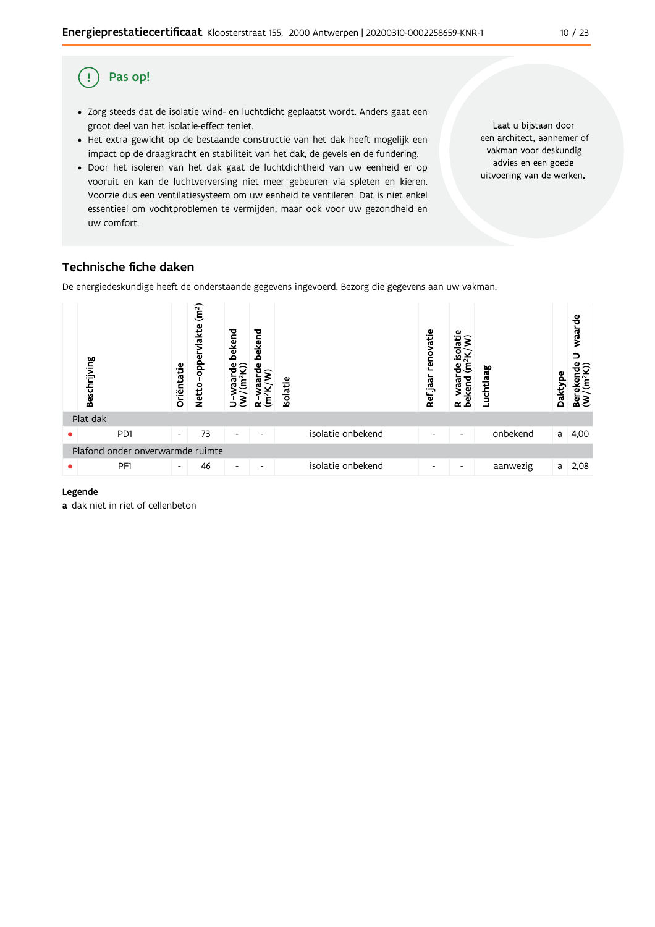#### Pas op! (!

- · Zorg steeds dat de isolatie wind- en luchtdicht geplaatst wordt. Anders gaat een groot deel van het isolatie-effect teniet.
- Het extra gewicht op de bestaande constructie van het dak heeft mogelijk een impact op de draagkracht en stabiliteit van het dak, de gevels en de fundering.
- · Door het isoleren van het dak gaat de luchtdichtheid van uw eenheid er op vooruit en kan de luchtverversing niet meer gebeuren via spleten en kieren. Voorzie dus een ventilatiesysteem om uw eenheid te ventileren. Dat is niet enkel essentieel om vochtproblemen te vermijden, maar ook voor uw gezondheid en uw comfort.

Laat u bijstaan door een architect, aannemer of vakman voor deskundig advies en een goede uitvoering van de werken.

## Technische fiche daken

De energiedeskundige heeft de onderstaande gegevens ingevoerd. Bezorg die gegevens aan uw vakman.



### Legende

a dak niet in riet of cellenbeton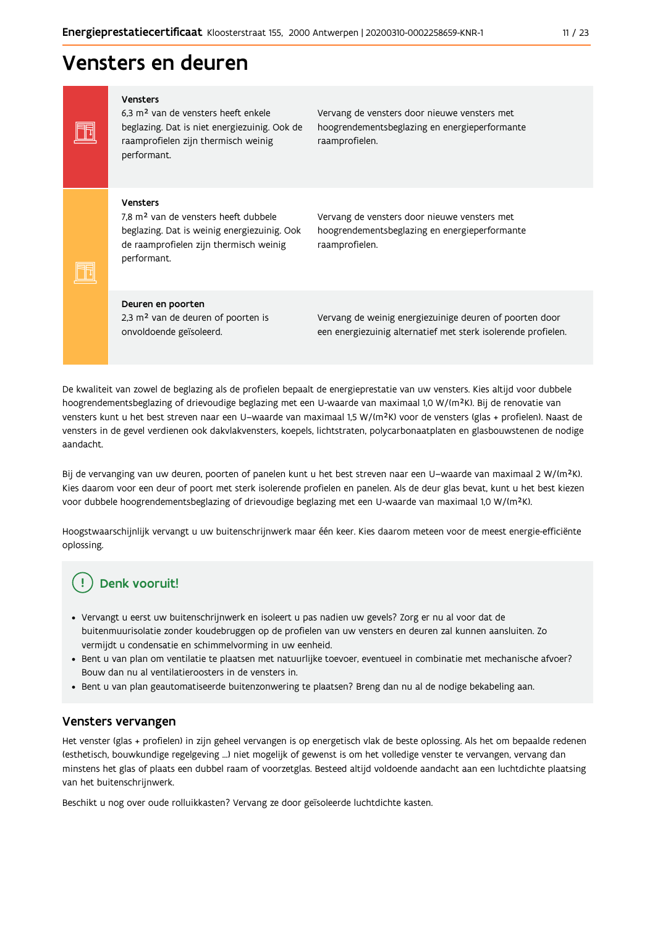## Vensters en deuren

Vensters 6,3 m<sup>2</sup> van de vensters heeft enkele beglazing. Dat is niet energiezuinig. Ook de raamprofielen zijn thermisch weinig performant.

Vervang de vensters door nieuwe vensters met hoogrendementsbeglazing en energieperformante raamprofielen.

#### Vensters

Ħ

Ħ

7,8 m<sup>2</sup> van de vensters heeft dubbele beglazing. Dat is weinig energiezuinig. Ook de raamprofielen zijn thermisch weinig performant.

Vervang de vensters door nieuwe vensters met hoogrendementsbeglazing en energieperformante raamprofielen.

#### Deuren en poorten

2,3 m<sup>2</sup> van de deuren of poorten is onvoldoende geïsoleerd.

Vervang de weinig energiezuinige deuren of poorten door een energiezuinig alternatief met sterk isolerende profielen.

De kwaliteit van zowel de beglazing als de profielen bepaalt de energieprestatie van uw vensters. Kies altijd voor dubbele hoogrendementsbeglazing of drievoudige beglazing met een U-waarde van maximaal 1,0 W/(m<sup>2</sup>K). Bij de renovatie van vensters kunt u het best streven naar een U-waarde van maximaal 1,5 W/(m<sup>2</sup>K) voor de vensters (glas + profielen). Naast de vensters in de gevel verdienen ook dakvlakvensters, koepels, lichtstraten, polycarbonaatplaten en glasbouwstenen de nodige aandacht.

Bij de vervanging van uw deuren, poorten of panelen kunt u het best streven naar een U-waarde van maximaal 2 W/(m<sup>2</sup>K). Kies daarom voor een deur of poort met sterk isolerende profielen en panelen. Als de deur glas bevat, kunt u het best kiezen voor dubbele hoogrendementsbeglazing of drievoudige beglazing met een U-waarde van maximaal 1,0 W/(m<sup>2</sup>K).

Hoogstwaarschijnlijk vervangt u uw buitenschrijnwerk maar één keer. Kies daarom meteen voor de meest energie-efficiënte oplossing.

## Denk vooruit!

- Vervangt u eerst uw buitenschrijnwerk en isoleert u pas nadien uw gevels? Zorg er nu al voor dat de buitenmuurisolatie zonder koudebruggen op de profielen van uw vensters en deuren zal kunnen aansluiten. Zo vermijdt u condensatie en schimmelvorming in uw eenheid.
- Bent u van plan om ventilatie te plaatsen met natuurlijke toevoer, eventueel in combinatie met mechanische afvoer? Bouw dan nu al ventilatieroosters in de vensters in.
- · Bent u van plan geautomatiseerde buitenzonwering te plaatsen? Breng dan nu al de nodige bekabeling aan.

### Vensters vervangen

Het venster (glas + profielen) in zijn geheel vervangen is op energetisch vlak de beste oplossing. Als het om bepaalde redenen (esthetisch, bouwkundige regelgeving ...) niet mogelijk of gewenst is om het volledige venster te vervangen, vervang dan minstens het glas of plaats een dubbel raam of voorzetglas. Besteed altijd voldoende aandacht aan een luchtdichte plaatsing van het buitenschrijnwerk.

Beschikt u nog over oude rolluikkasten? Vervang ze door geïsoleerde luchtdichte kasten.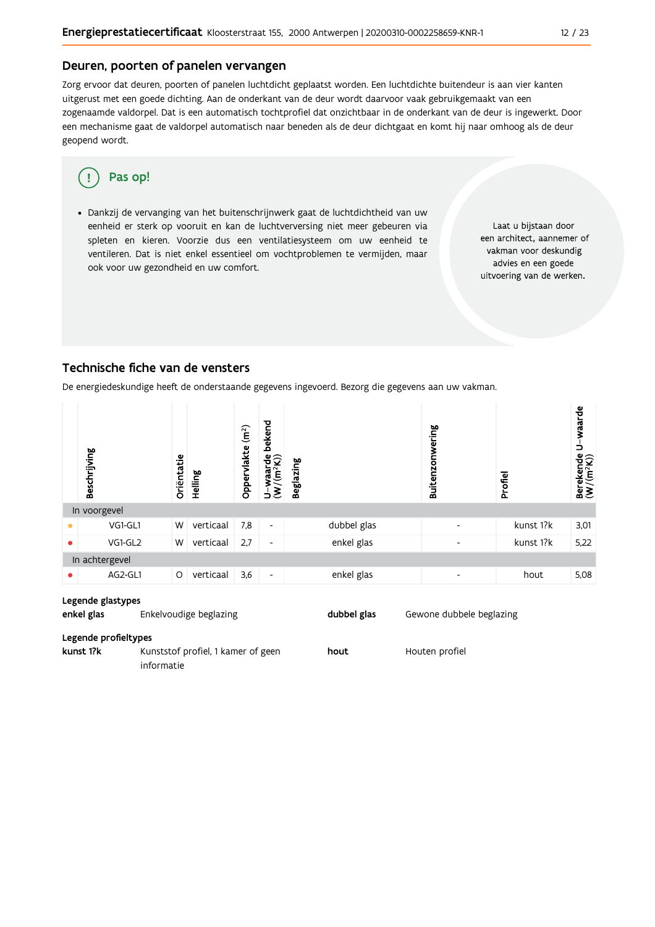## Deuren, poorten of panelen vervangen

Zorg ervoor dat deuren, poorten of panelen luchtdicht geplaatst worden. Een luchtdichte buitendeur is aan vier kanten uitgerust met een goede dichting. Aan de onderkant van de deur wordt daarvoor vaak gebruikgemaakt van een zogenaamde valdorpel. Dat is een automatisch tochtprofiel dat onzichtbaar in de onderkant van de deur is ingewerkt. Door een mechanisme gaat de valdorpel automatisch naar beneden als de deur dichtgaat en komt hij naar omhoog als de deur geopend wordt.

#### Pas op! q

· Dankzij de vervanging van het buitenschrijnwerk gaat de luchtdichtheid van uw eenheid er sterk op vooruit en kan de luchtverversing niet meer gebeuren via spleten en kieren. Voorzie dus een ventilatiesysteem om uw eenheid te ventileren. Dat is niet enkel essentieel om vochtproblemen te vermijden, maar ook voor uw gezondheid en uw comfort.

Laat u bijstaan door een architect, aannemer of vakman voor deskundig advies en een goede uitvoering van de werken.

## Technische fiche van de vensters

De energiedeskundige heeft de onderstaande gegevens ingevoerd. Bezorg die gegevens aan uw vakman.

|           | Beschrijving   | Oriëntatie | Helling   | (m <sup>2</sup> )<br>Oppervlakte | bekend<br>vaarde<br>(m <sup>2</sup> K))<br>waa<br>$\overline{\mathcal{E}}$<br>っ | <b>Beglazing</b> | Buitenzonwering          | Profiel   | U-waarde<br>$\begin{array}{ll}\text{Berekende} \\\text{(W/(m²K))}\end{array}$ |
|-----------|----------------|------------|-----------|----------------------------------|---------------------------------------------------------------------------------|------------------|--------------------------|-----------|-------------------------------------------------------------------------------|
|           | In voorgevel   |            |           |                                  |                                                                                 |                  |                          |           |                                                                               |
|           | VG1-GL1        | W          | verticaal | 7,8                              | $\blacksquare$                                                                  | dubbel glas      | $\overline{\phantom{0}}$ | kunst 1?k | 3,01                                                                          |
| $\bullet$ | VG1-GL2        | W          | verticaal | 2,7                              | $\overline{\phantom{a}}$                                                        | enkel glas       | $\overline{\phantom{0}}$ | kunst 1?k | 5,22                                                                          |
|           | In achtergevel |            |           |                                  |                                                                                 |                  |                          |           |                                                                               |
|           | AG2-GL1        | O          | verticaal | 3,6                              | $\overline{\phantom{a}}$                                                        | enkel glas       | $\overline{\phantom{a}}$ | hout      | 5,08                                                                          |

#### Legende glastypes

enkel glas Enkelvoudige beglazing dubbel glas Gewone dubbele beglazing

#### Legende profieltypes

kunst 1?k Kunststof profiel, 1 kamer of geen hout Houten profiel informatie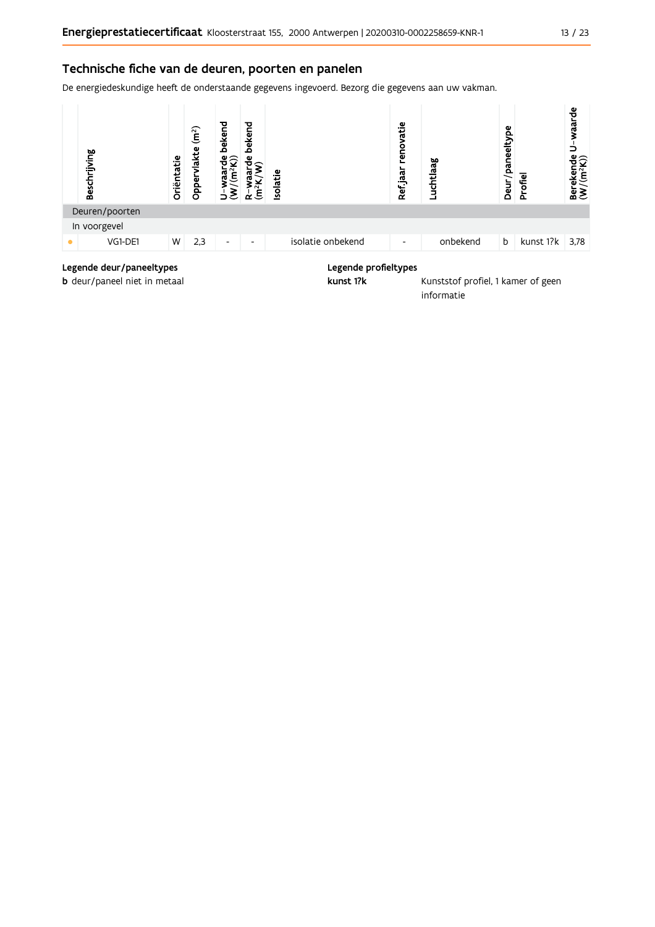## Technische fiche van de deuren, poorten en panelen

De energiedeskundige heeft de onderstaande gegevens ingevoerd. Bezorg die gegevens aan uw vakman.



## Legende deur/paneeltypes

b deur/paneel niet in metaal

### Legende profieltypes

kunst 1?k

Kunststof profiel, 1 kamer of geen informatie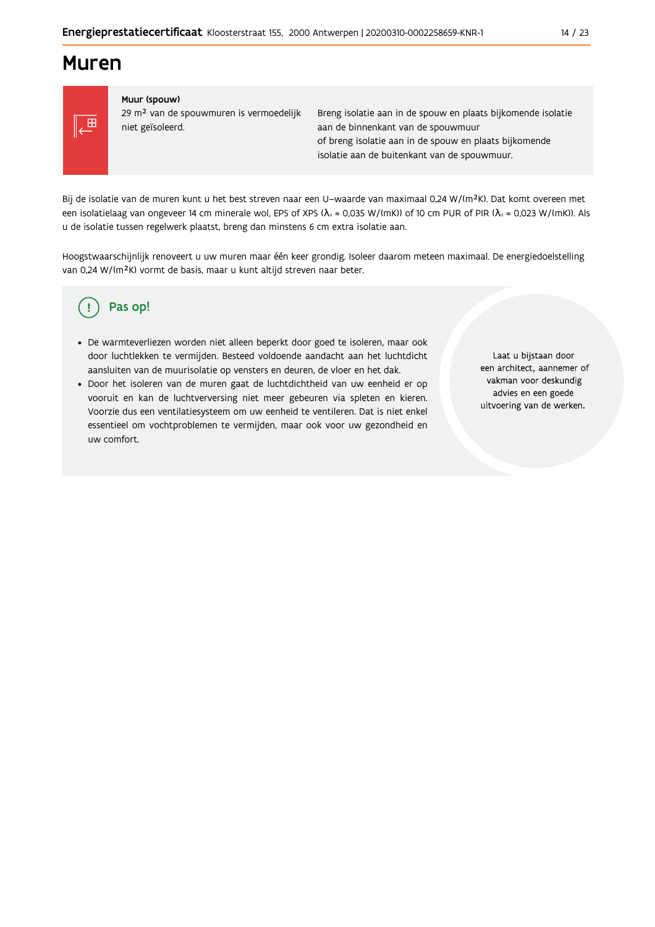## **Muren**



#### Muur (spouw)

29 m<sup>2</sup> van de spouwmuren is vermoedelijk niet geïsoleerd.

Breng isolatie aan in de spouw en plaats bijkomende isolatie aan de binnenkant van de spouwmuur of breng isolatie aan in de spouw en plaats bijkomende isolatie aan de buitenkant van de spouwmuur.

Bij de isolatie van de muren kunt u het best streven naar een U-waarde van maximaal 0,24 W/(m<sup>2</sup>K). Dat komt overeen met een isolatielaag van ongeveer 14 cm minerale wol, EPS of XPS ( $\lambda_a$  = 0,035 W/(mK)) of 10 cm PUR of PIR ( $\lambda_a$  = 0,023 W/(mK)). Als u de isolatie tussen regelwerk plaatst, breng dan minstens 6 cm extra isolatie aan.

Hoogstwaarschijnlijk renoveert u uw muren maar één keer grondig. Isoleer daarom meteen maximaal. De energiedoelstelling van 0,24 W/(m<sup>2</sup>K) vormt de basis, maar u kunt altijd streven naar beter.

#### Pas op! Ţ

- · De warmteverliezen worden niet alleen beperkt door goed te isoleren, maar ook door luchtlekken te vermijden. Besteed voldoende aandacht aan het luchtdicht aansluiten van de muurisolatie op vensters en deuren, de vloer en het dak.
- · Door het isoleren van de muren gaat de luchtdichtheid van uw eenheid er op vooruit en kan de luchtverversing niet meer gebeuren via spleten en kieren. Voorzie dus een ventilatiesysteem om uw eenheid te ventileren. Dat is niet enkel essentieel om vochtproblemen te vermijden, maar ook voor uw gezondheid en uw comfort.

Laat u bijstaan door een architect, aannemer of vakman voor deskundig advies en een goede uitvoering van de werken.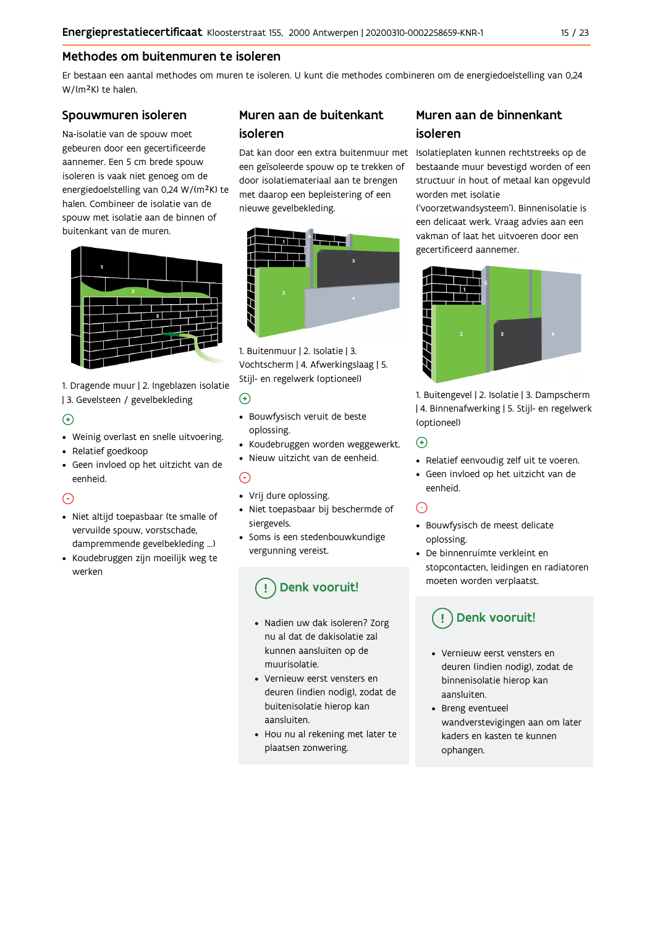## Methodes om buitenmuren te isoleren

Er bestaan een aantal methodes om muren te isoleren. U kunt die methodes combineren om de energiedoelstelling van 0,24 W/(m<sup>2</sup>K) te halen.

## Spouwmuren isoleren

Na-isolatie van de spouw moet gebeuren door een gecertificeerde aannemer. Een 5 cm brede spouw isoleren is vaak niet genoeg om de energiedoelstelling van 0,24 W/(m<sup>2</sup>K) te halen. Combineer de isolatie van de spouw met isolatie aan de binnen of buitenkant van de muren.



1. Dragende muur | 2. Ingeblazen isolatie | 3. Gevelsteen / gevelbekleding

## $\bigoplus$

- Weinig overlast en snelle uitvoering.
- Relatief goedkoop
- · Geen invloed op het uitzicht van de eenheid.

## ∩

- · Niet altijd toepasbaar (te smalle of vervuilde spouw, vorstschade, dampremmende gevelbekleding ...)
- Koudebruggen zijn moeilijk weg te werken

## Muren aan de buitenkant isoleren

een geïsoleerde spouw op te trekken of door isolatiemateriaal aan te brengen met daarop een bepleistering of een nieuwe gevelbekleding.



1. Buitenmuur | 2. Isolatie | 3. Vochtscherm | 4. Afwerkingslaag | 5. Stijl- en regelwerk (optioneel)

## $\odot$

- · Bouwfysisch veruit de beste oplossing.
- Koudebruggen worden weggewerkt.
- · Nieuw uitzicht van de eenheid.

## $\bigcap$

- Vrij dure oplossing.
- · Niet toepasbaar bij beschermde of siergevels.
- Soms is een stedenbouwkundige vergunning vereist.

## Denk vooruit!

- · Nadien uw dak isoleren? Zorg nu al dat de dakisolatie zal kunnen aansluiten op de muurisolatie
- Vernieuw eerst vensters en deuren (indien nodig), zodat de buitenisolatie hierop kan aansluiten.
- Hou nu al rekening met later te plaatsen zonwering.

## Muren aan de binnenkant isoleren

Dat kan door een extra buitenmuur met Isolatieplaten kunnen rechtstreeks op de bestaande muur bevestigd worden of een structuur in hout of metaal kan opgevuld worden met isolatie

> ('voorzetwandsysteem'). Binnenisolatie is een delicaat werk. Vraag advies aan een vakman of laat het uitvoeren door een gecertificeerd aannemer.



1. Buitengevel | 2. Isolatie | 3. Dampscherm | 4. Binnenafwerking | 5. Stijl- en regelwerk (optioneel)

## $\bigodot$

- Relatief eenvoudig zelf uit te voeren.
- · Geen invloed op het uitzicht van de eenheid.

## $\odot$

- · Bouwfysisch de meest delicate oplossing.
- De binnenruimte verkleint en stopcontacten, leidingen en radiatoren moeten worden verplaatst.

## Denk vooruit!

- Vernieuw eerst vensters en deuren (indien nodig), zodat de binnenisolatie hierop kan aansluiten.
- Breng eventueel wandverstevigingen aan om later kaders en kasten te kunnen ophangen.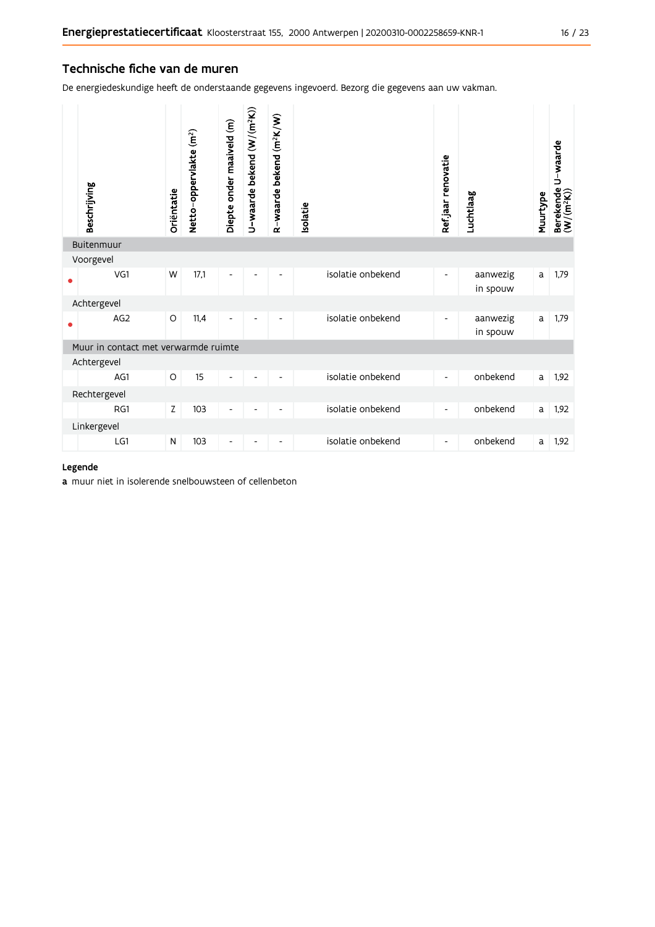## Technische fiche van de muren

De energiedeskundige heeft de onderstaande gegevens ingevoerd. Bezorg die gegevens aan uw vakman.

|   | Beschrijving                         | Oriëntatie | Netto-oppervlakte (m <sup>2</sup> ) | Diepte onder maaiveld (m) | U-waarde bekend (W/(m <sup>2</sup> K)) | R-waarde bekend (m <sup>2</sup> K/W) | <b>Isolatie</b>   | Ref.jaar renovatie       | Luchtlaag            | Muurtype | U-waarde<br>Berekende I<br>(W/(m <sup>2</sup> K)) |
|---|--------------------------------------|------------|-------------------------------------|---------------------------|----------------------------------------|--------------------------------------|-------------------|--------------------------|----------------------|----------|---------------------------------------------------|
|   | Buitenmuur                           |            |                                     |                           |                                        |                                      |                   |                          |                      |          |                                                   |
|   | Voorgevel                            |            |                                     |                           |                                        |                                      |                   |                          |                      |          |                                                   |
| ٠ | VG1                                  | W          | 17,1                                | -                         |                                        |                                      | isolatie onbekend | -                        | aanwezig<br>in spouw | a        | 1,79                                              |
|   | Achtergevel                          |            |                                     |                           |                                        |                                      |                   |                          |                      |          |                                                   |
|   | AG <sub>2</sub>                      | O          | 11,4                                | -                         | $\overline{\phantom{a}}$               | -                                    | isolatie onbekend | $\overline{\phantom{0}}$ | aanwezig<br>in spouw | a        | 1,79                                              |
|   | Muur in contact met verwarmde ruimte |            |                                     |                           |                                        |                                      |                   |                          |                      |          |                                                   |
|   | Achtergevel                          |            |                                     |                           |                                        |                                      |                   |                          |                      |          |                                                   |
|   | AG1                                  | O          | 15                                  | $\frac{1}{2}$             |                                        |                                      | isolatie onbekend | $\overline{\phantom{0}}$ | onbekend             | a        | 1,92                                              |
|   | Rechtergevel                         |            |                                     |                           |                                        |                                      |                   |                          |                      |          |                                                   |
|   | RG1                                  | Z          | 103                                 | -                         |                                        |                                      | isolatie onbekend | -                        | onbekend             | a        | 1,92                                              |
|   | Linkergevel                          |            |                                     |                           |                                        |                                      |                   |                          |                      |          |                                                   |
|   | LG1                                  | N          | 103                                 | -                         |                                        |                                      | isolatie onbekend | -                        | onbekend             | a        | 1,92                                              |

## Legende

a muur niet in isolerende snelbouwsteen of cellenbeton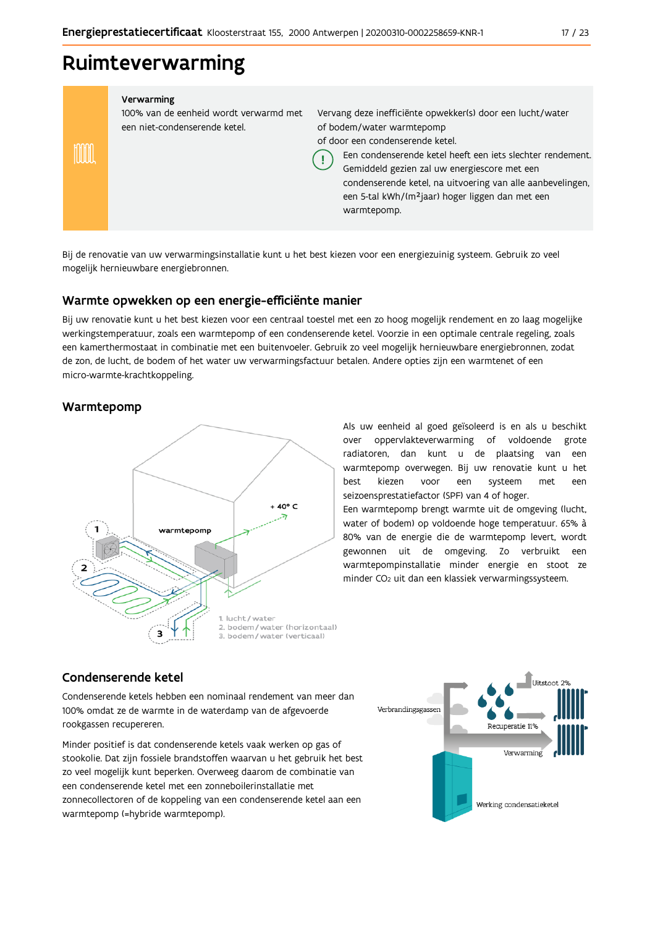## Ruimteverwarming

#### Verwarming

100% van de eenheid wordt verwarmd met een niet-condenserende ketel.

Vervang deze inefficiënte opwekker(s) door een lucht/water of bodem/water warmtepomp of door een condenserende ketel.

Een condenserende ketel heeft een jets slechter rendement.

Gemiddeld gezien zal uw energiescore met een condenserende ketel, na uitvoering van alle aanbevelingen, een 5-tal kWh/(m<sup>2</sup>jaar) hoger liggen dan met een warmtepomp.

Bij de renovatie van uw verwarmingsinstallatie kunt u het best kiezen voor een energiezuinig systeem. Gebruik zo veel mogelijk hernieuwbare energiebronnen.

Ţ

## Warmte opwekken op een energie-efficiënte manier

Bij uw renovatie kunt u het best kiezen voor een centraal toestel met een zo hoog mogelijk rendement en zo laag mogelijke werkingstemperatuur, zoals een warmtepomp of een condenserende ketel. Voorzie in een optimale centrale regeling, zoals een kamerthermostaat in combinatie met een buitenvoeler. Gebruik zo veel mogelijk hernieuwbare energiebronnen, zodat de zon, de lucht, de bodem of het water uw verwarmingsfactuur betalen. Andere opties zijn een warmtenet of een micro-warmte-krachtkoppeling.

## Warmtepomp

inn



Als uw eenheid al goed geïsoleerd is en als u beschikt over oppervlakteverwarming of voldoende grote radiatoren, dan kunt u de plaatsing van een warmtepomp overwegen. Bij uw renovatie kunt u het hest kiezen voor een systeem met een seizoensprestatiefactor (SPF) van 4 of hoger.

Een warmtepomp brengt warmte uit de omgeving (lucht, water of bodem) op voldoende hoge temperatuur. 65% à 80% van de energie die de warmtepomp levert, wordt gewonnen uit de omgeving. Zo verbruikt een warmtepompinstallatie minder energie en stoot ze minder CO<sub>2</sub> uit dan een klassiek verwarmingssysteem.

## Condenserende ketel

Condenserende ketels hebben een nominaal rendement van meer dan 100% omdat ze de warmte in de waterdamp van de afgevoerde rookgassen recupereren.

Minder positief is dat condenserende ketels vaak werken op gas of stookolie. Dat zijn fossiele brandstoffen waarvan u het gebruik het best zo veel mogelijk kunt beperken. Overweeg daarom de combinatie van een condenserende ketel met een zonneboilerinstallatie met zonnecollectoren of de koppeling van een condenserende ketel aan een warmtepomp (=hybride warmtepomp).

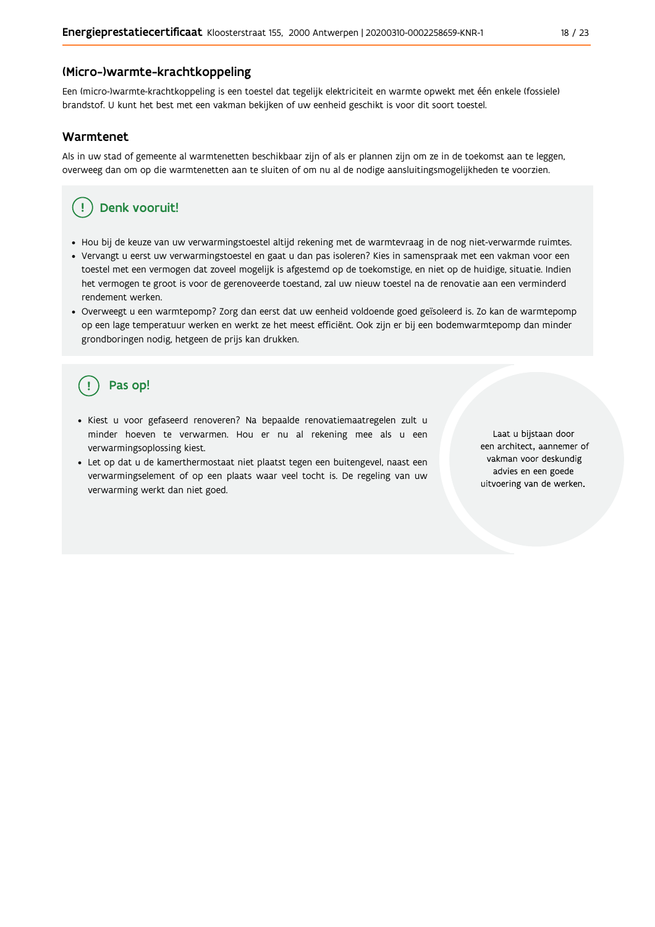## (Micro-)warmte-krachtkoppeling

Een (micro-)warmte-krachtkoppeling is een toestel dat tegelijk elektriciteit en warmte opwekt met één enkele (fossiele) brandstof. U kunt het best met een vakman bekijken of uw eenheid geschikt is voor dit soort toestel.

### Warmtenet

Als in uw stad of gemeente al warmtenetten beschikbaar zijn of als er plannen zijn om ze in de toekomst aan te leggen, overweeg dan om op die warmtenetten aan te sluiten of om nu al de nodige aansluitingsmogelijkheden te voorzien.

## Denk vooruit!

- · Hou bij de keuze van uw verwarmingstoestel altijd rekening met de warmtevraag in de nog niet-verwarmde ruimtes.
- Vervangt u eerst uw verwarmingstoestel en gaat u dan pas isoleren? Kies in samenspraak met een vakman voor een toestel met een vermogen dat zoveel mogelijk is afgestemd op de toekomstige, en niet op de huidige, situatie. Indien het vermogen te groot is voor de gerenoveerde toestand, zal uw nieuw toestel na de renovatie aan een verminderd rendement werken.
- · Overweegt u een warmtepomp? Zorg dan eerst dat uw eenheid voldoende goed geïsoleerd is. Zo kan de warmtepomp op een lage temperatuur werken en werkt ze het meest efficiënt. Ook zijn er bij een bodemwarmtepomp dan minder grondboringen nodig, hetgeen de prijs kan drukken.

## Pas op!

- · Kiest u voor gefaseerd renoveren? Na bepaalde renovatiemaatregelen zult u minder hoeven te verwarmen. Hou er nu al rekening mee als u een verwarmingsoplossing kiest.
- · Let op dat u de kamerthermostaat niet plaatst tegen een buitengevel, naast een verwarmingselement of op een plaats waar veel tocht is. De regeling van uw verwarming werkt dan niet goed.

Laat u bijstaan door een architect, aannemer of vakman voor deskundig advies en een goede uitvoering van de werken.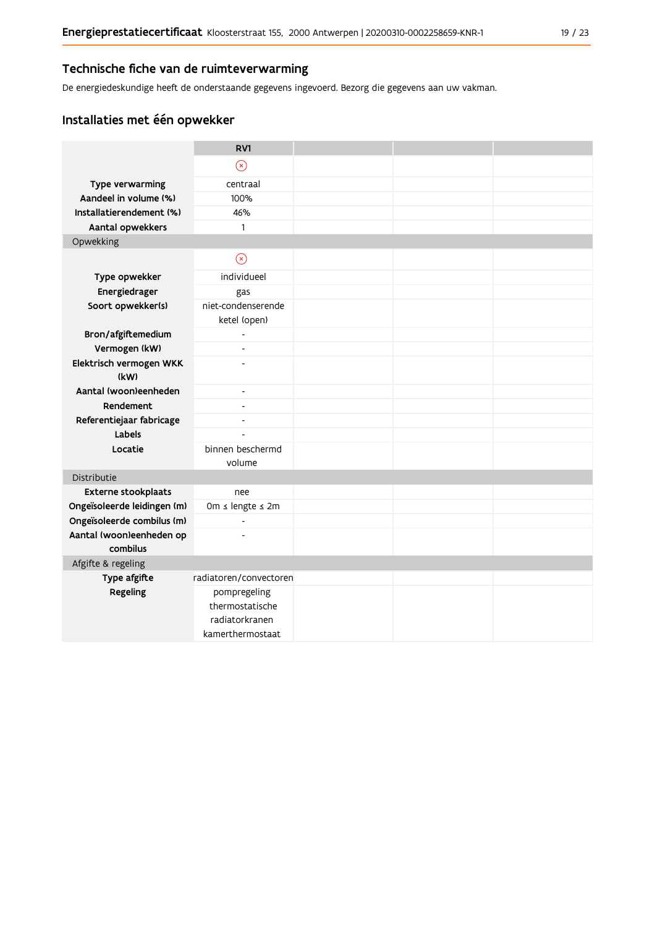De energiedeskundige heeft de onderstaande gegevens ingevoerd. Bezorg die gegevens aan uw vakman.

## Installaties met één opwekker

|                             | RV1                      |  |  |
|-----------------------------|--------------------------|--|--|
|                             | $\circledR$              |  |  |
| Type verwarming             | centraal                 |  |  |
| Aandeel in volume (%)       | 100%                     |  |  |
| Installatierendement (%)    | 46%                      |  |  |
| Aantal opwekkers            | $\mathbf{1}$             |  |  |
| Opwekking                   |                          |  |  |
|                             | $\odot$                  |  |  |
| Type opwekker               | individueel              |  |  |
| Energiedrager               | gas                      |  |  |
| Soort opwekker(s)           | niet-condenserende       |  |  |
|                             | ketel (open)             |  |  |
| Bron/afgiftemedium          | $\overline{\phantom{0}}$ |  |  |
| Vermogen (kW)               | L,                       |  |  |
| Elektrisch vermogen WKK     | $\overline{a}$           |  |  |
| (kW)                        |                          |  |  |
| Aantal (woon)eenheden       | $\overline{\phantom{a}}$ |  |  |
| Rendement                   | $\overline{\phantom{a}}$ |  |  |
| Referentiejaar fabricage    | $\overline{\phantom{a}}$ |  |  |
| Labels                      | $\overline{\phantom{a}}$ |  |  |
| Locatie                     | binnen beschermd         |  |  |
|                             | volume                   |  |  |
| Distributie                 |                          |  |  |
| <b>Externe stookplaats</b>  | nee                      |  |  |
| Ongeïsoleerde leidingen (m) | 0m ≤ lengte ≤ 2m         |  |  |
| Ongeïsoleerde combilus (m)  | $\blacksquare$           |  |  |
| Aantal (woon)eenheden op    | $\overline{a}$           |  |  |
| combilus                    |                          |  |  |
| Afgifte & regeling          |                          |  |  |
| Type afgifte                | radiatoren/convectoren   |  |  |
| Regeling                    | pompregeling             |  |  |
|                             | thermostatische          |  |  |
|                             | radiatorkranen           |  |  |
|                             | kamerthermostaat         |  |  |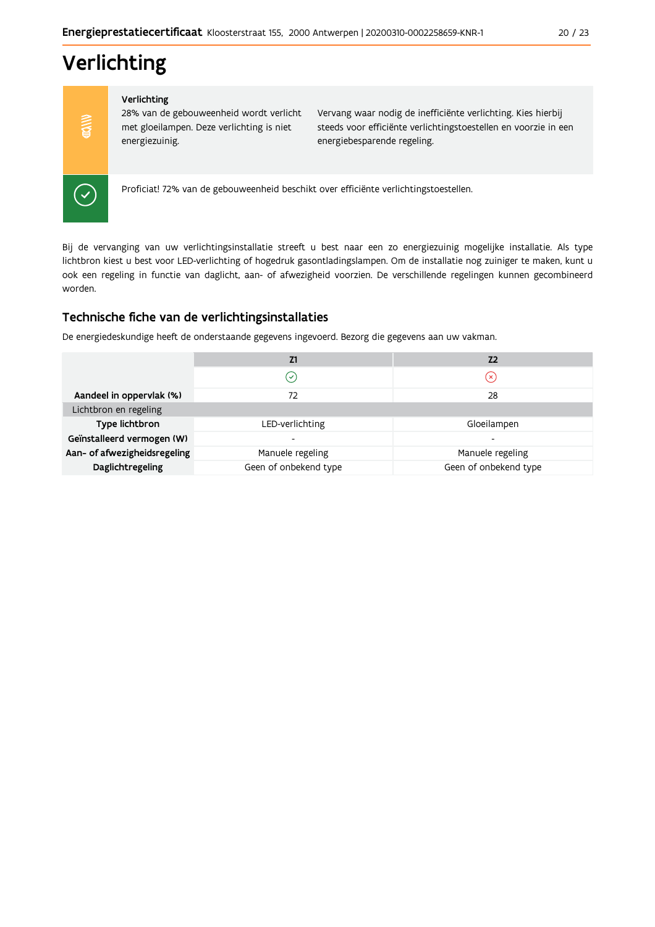# Verlichting

Verlichting

28% van de gebouweenheid wordt verlicht met gloeilampen. Deze verlichting is niet energiezuinig.

Vervang waar nodig de inefficiënte verlichting. Kies hierbij steeds voor efficiënte verlichtingstoestellen en voorzie in een energiebesparende regeling.



 $\frac{1}{2}$ 

Proficiat! 72% van de gebouweenheid beschikt over efficiënte verlichtingstoestellen.

Bij de vervanging van uw verlichtingsinstallatie streeft u best naar een zo energiezuinig mogelijke installatie. Als type lichtbron kiest u best voor LED-verlichting of hogedruk gasontladingslampen. Om de installatie nog zuiniger te maken, kunt u ook een regeling in functie van daglicht, aan- of afwezigheid voorzien. De verschillende regelingen kunnen gecombineerd worden.

## Technische fiche van de verlichtingsinstallaties

De energiedeskundige heeft de onderstaande gegevens ingevoerd. Bezorg die gegevens aan uw vakman.

|                              | Z1                          | Z <sub>2</sub>          |
|------------------------------|-----------------------------|-------------------------|
|                              | $\left( \mathcal{S}\right)$ | $\left( \times \right)$ |
| Aandeel in oppervlak (%)     | 72                          | 28                      |
| Lichtbron en regeling        |                             |                         |
| Type lichtbron               | LED-verlichting             | Gloeilampen             |
| Geïnstalleerd vermogen (W)   | -                           |                         |
| Aan- of afwezigheidsregeling | Manuele regeling            | Manuele regeling        |
| Daglichtregeling             | Geen of onbekend type       | Geen of onbekend type   |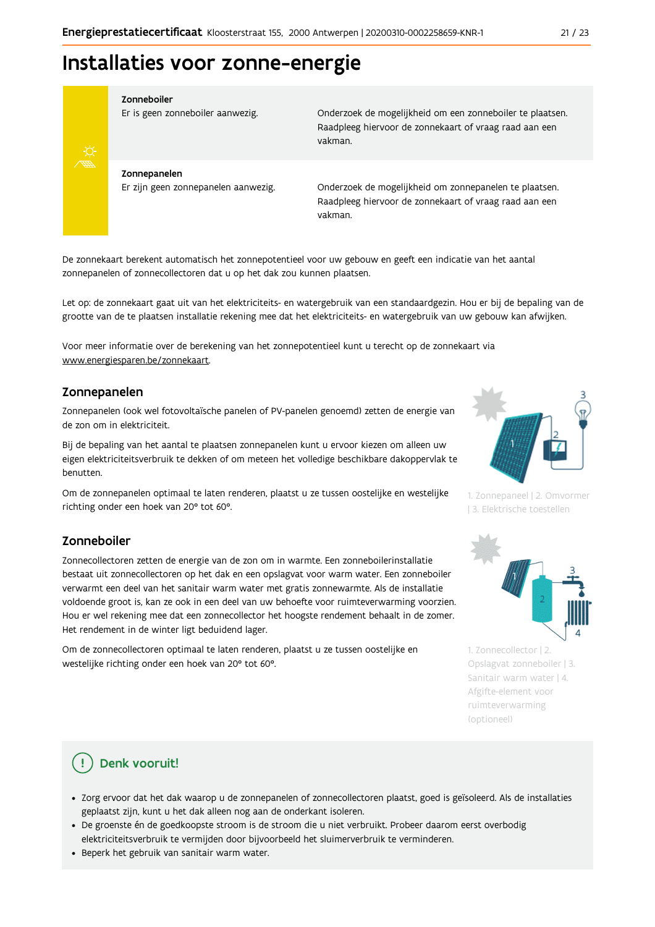## Installaties voor zonne-energie



#### Zonneboiler

Er is geen zonneboiler aanwezig.

Onderzoek de mogelijkheid om een zonneboiler te plaatsen. Raadpleeg hiervoor de zonnekaart of vraag raad aan een vakman.

Zonnepanelen Er zijn geen zonnepanelen aanwezig.

Onderzoek de mogelijkheid om zonnepanelen te plaatsen. Raadpleeg hiervoor de zonnekaart of vraag raad aan een vakman.

De zonnekaart berekent automatisch het zonnepotentieel voor uw gebouw en geeft een indicatie van het aantal zonnepanelen of zonnecollectoren dat u op het dak zou kunnen plaatsen.

Let op: de zonnekaart gaat uit van het elektriciteits- en watergebruik van een standaardgezin. Hou er bij de bepaling van de grootte van de te plaatsen installatie rekening mee dat het elektriciteits- en watergebruik van uw gebouw kan afwijken.

Voor meer informatie over de berekening van het zonnepotentieel kunt u terecht op de zonnekaart via www.energiesparen.be/zonnekaart.

## Zonnepanelen

Zonnepanelen (ook wel fotovoltaïsche panelen of PV-panelen genoemd) zetten de energie van de zon om in elektriciteit.

Bij de bepaling van het aantal te plaatsen zonnepanelen kunt u ervoor kiezen om alleen uw eigen elektriciteitsverbruik te dekken of om meteen het volledige beschikbare dakoppervlak te benutten.

Om de zonnepanelen optimaal te laten renderen, plaatst u ze tussen oostelijke en westelijke richting onder een hoek van 20° tot 60°.

## Zonneboiler

Zonnecollectoren zetten de energie van de zon om in warmte. Een zonneboilerinstallatie bestaat uit zonnecollectoren op het dak en een opslagvat voor warm water. Een zonneboiler verwarmt een deel van het sanitair warm water met gratis zonnewarmte. Als de installatie voldoende groot is, kan ze ook in een deel van uw behoefte voor ruimteverwarming voorzien. Hou er wel rekening mee dat een zonnecollector het hoogste rendement behaalt in de zomer. Het rendement in de winter ligt beduidend lager.

Om de zonnecollectoren optimaal te laten renderen, plaatst u ze tussen oostelijke en westelijke richting onder een hoek van 20° tot 60°.



1. Zonnepaneel | 2. Omvormer | 3. Elektrische toestellen



1. Zonnecollector | 2. Opslagvat zonneboiler | 3. Sanitair warm water | 4. Afgifte-element voor ruimteverwarming (optioneel)

## Denk vooruit!

- · Zorg ervoor dat het dak waarop u de zonnepanelen of zonnecollectoren plaatst, goed is geïsoleerd. Als de installaties geplaatst zijn, kunt u het dak alleen nog aan de onderkant isoleren.
- · De groenste én de goedkoopste stroom is de stroom die u niet verbruikt. Probeer daarom eerst overbodig elektriciteitsverbruik te vermijden door bijvoorbeeld het sluimerverbruik te verminderen.
- · Beperk het gebruik van sanitair warm water.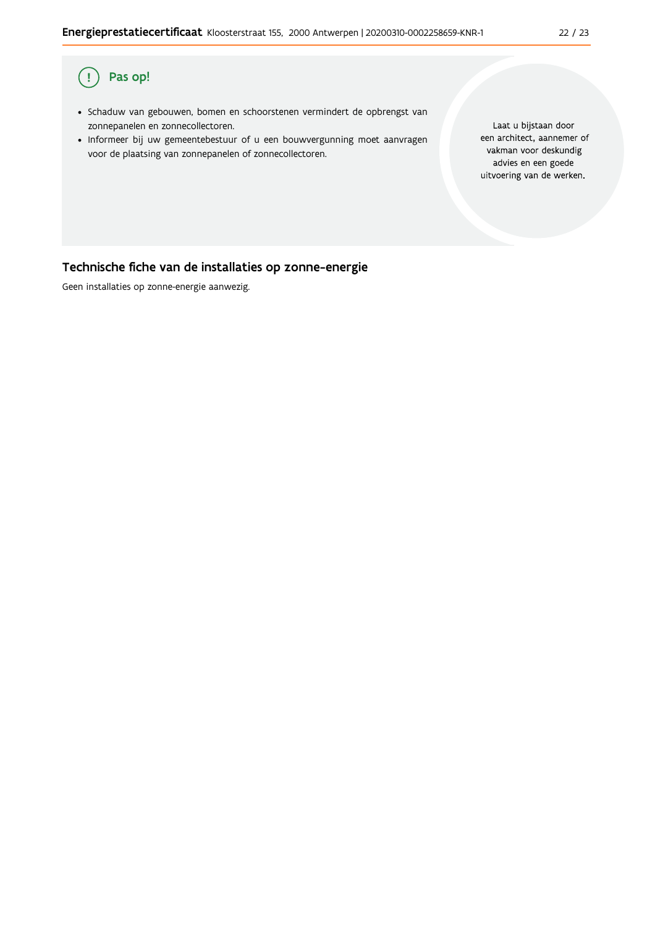### $\overline{(\,}$ Pas op!

- · Schaduw van gebouwen, bomen en schoorstenen vermindert de opbrengst van zonnepanelen en zonnecollectoren.
- · Informeer bij uw gemeentebestuur of u een bouwvergunning moet aanvragen voor de plaatsing van zonnepanelen of zonnecollectoren.

Laat u bijstaan door een architect, aannemer of vakman voor deskundig advies en een goede uitvoering van de werken.

## Technische fiche van de installaties op zonne-energie

Geen installaties op zonne-energie aanwezig.